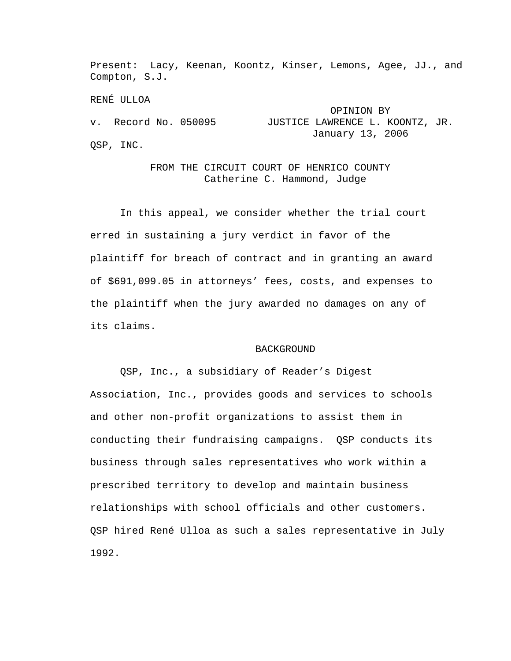Present: Lacy, Keenan, Koontz, Kinser, Lemons, Agee, JJ., and Compton, S.J.

RENÉ ULLOA OPINION BY v. Record No. 050095 JUSTICE LAWRENCE L. KOONTZ, JR. January 13, 2006 QSP, INC.

> FROM THE CIRCUIT COURT OF HENRICO COUNTY Catherine C. Hammond, Judge

In this appeal, we consider whether the trial court erred in sustaining a jury verdict in favor of the plaintiff for breach of contract and in granting an award of \$691,099.05 in attorneys' fees, costs, and expenses to the plaintiff when the jury awarded no damages on any of its claims.

## BACKGROUND

QSP, Inc., a subsidiary of Reader's Digest Association, Inc., provides goods and services to schools and other non-profit organizations to assist them in conducting their fundraising campaigns. QSP conducts its business through sales representatives who work within a prescribed territory to develop and maintain business relationships with school officials and other customers. QSP hired René Ulloa as such a sales representative in July 1992.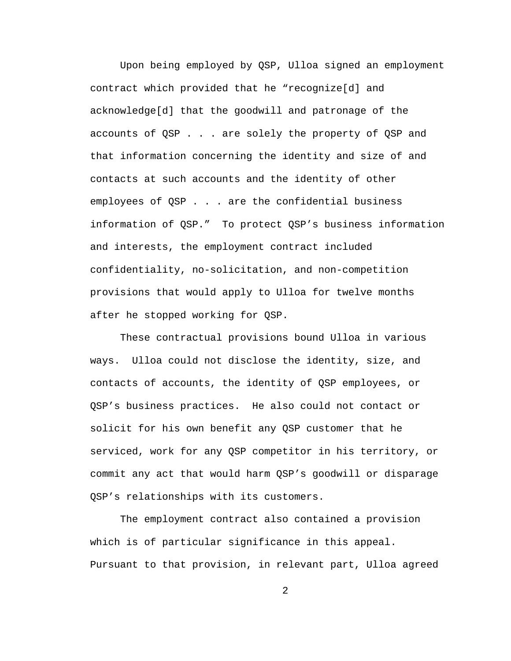Upon being employed by QSP, Ulloa signed an employment contract which provided that he "recognize[d] and acknowledge[d] that the goodwill and patronage of the accounts of QSP . . . are solely the property of QSP and that information concerning the identity and size of and contacts at such accounts and the identity of other employees of QSP . . . are the confidential business information of QSP." To protect QSP's business information and interests, the employment contract included confidentiality, no-solicitation, and non-competition provisions that would apply to Ulloa for twelve months after he stopped working for QSP.

These contractual provisions bound Ulloa in various ways. Ulloa could not disclose the identity, size, and contacts of accounts, the identity of QSP employees, or QSP's business practices. He also could not contact or solicit for his own benefit any QSP customer that he serviced, work for any QSP competitor in his territory, or commit any act that would harm QSP's goodwill or disparage QSP's relationships with its customers.

The employment contract also contained a provision which is of particular significance in this appeal. Pursuant to that provision, in relevant part, Ulloa agreed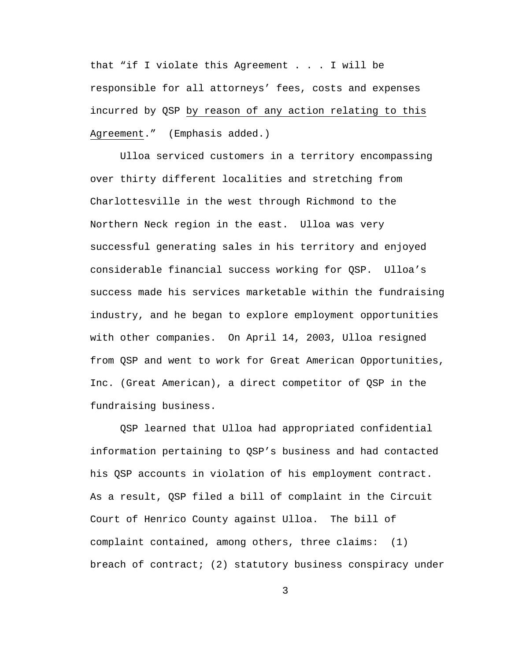that "if I violate this Agreement . . . I will be responsible for all attorneys' fees, costs and expenses incurred by QSP by reason of any action relating to this Agreement." (Emphasis added.)

Ulloa serviced customers in a territory encompassing over thirty different localities and stretching from Charlottesville in the west through Richmond to the Northern Neck region in the east. Ulloa was very successful generating sales in his territory and enjoyed considerable financial success working for QSP. Ulloa's success made his services marketable within the fundraising industry, and he began to explore employment opportunities with other companies. On April 14, 2003, Ulloa resigned from QSP and went to work for Great American Opportunities, Inc. (Great American), a direct competitor of QSP in the fundraising business.

QSP learned that Ulloa had appropriated confidential information pertaining to QSP's business and had contacted his QSP accounts in violation of his employment contract. As a result, QSP filed a bill of complaint in the Circuit Court of Henrico County against Ulloa. The bill of complaint contained, among others, three claims: (1) breach of contract; (2) statutory business conspiracy under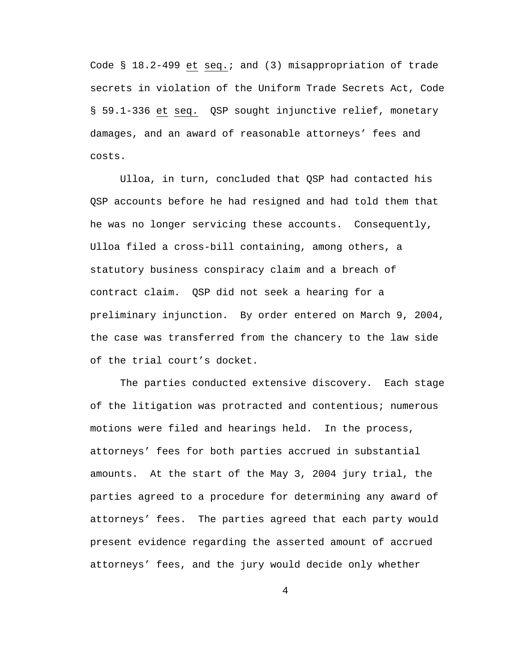Code § 18.2-499 et seq.; and (3) misappropriation of trade secrets in violation of the Uniform Trade Secrets Act, Code § 59.1-336 et seq. QSP sought injunctive relief, monetary damages, and an award of reasonable attorneys' fees and costs.

Ulloa, in turn, concluded that QSP had contacted his QSP accounts before he had resigned and had told them that he was no longer servicing these accounts. Consequently, Ulloa filed a cross-bill containing, among others, a statutory business conspiracy claim and a breach of contract claim. QSP did not seek a hearing for a preliminary injunction. By order entered on March 9, 2004, the case was transferred from the chancery to the law side of the trial court's docket.

The parties conducted extensive discovery. Each stage of the litigation was protracted and contentious; numerous motions were filed and hearings held. In the process, attorneys' fees for both parties accrued in substantial amounts. At the start of the May 3, 2004 jury trial, the parties agreed to a procedure for determining any award of attorneys' fees. The parties agreed that each party would present evidence regarding the asserted amount of accrued attorneys' fees, and the jury would decide only whether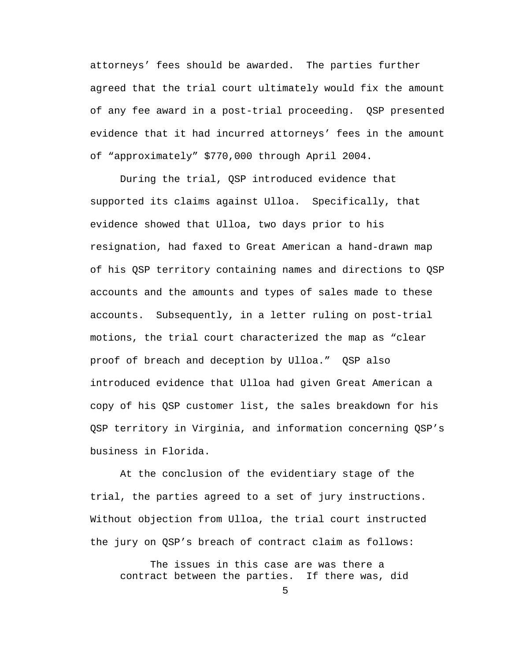attorneys' fees should be awarded. The parties further agreed that the trial court ultimately would fix the amount of any fee award in a post-trial proceeding. QSP presented evidence that it had incurred attorneys' fees in the amount of "approximately" \$770,000 through April 2004.

During the trial, QSP introduced evidence that supported its claims against Ulloa. Specifically, that evidence showed that Ulloa, two days prior to his resignation, had faxed to Great American a hand-drawn map of his QSP territory containing names and directions to QSP accounts and the amounts and types of sales made to these accounts. Subsequently, in a letter ruling on post-trial motions, the trial court characterized the map as "clear proof of breach and deception by Ulloa." QSP also introduced evidence that Ulloa had given Great American a copy of his QSP customer list, the sales breakdown for his QSP territory in Virginia, and information concerning QSP's business in Florida.

At the conclusion of the evidentiary stage of the trial, the parties agreed to a set of jury instructions. Without objection from Ulloa, the trial court instructed the jury on QSP's breach of contract claim as follows:

The issues in this case are was there a contract between the parties. If there was, did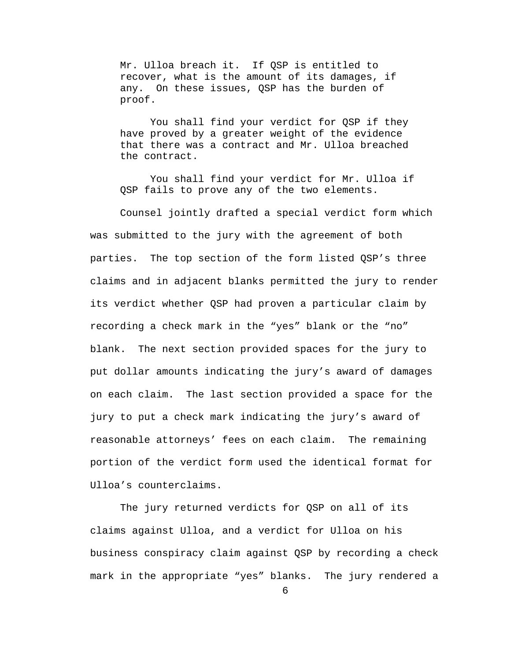Mr. Ulloa breach it. If QSP is entitled to recover, what is the amount of its damages, if any. On these issues, QSP has the burden of proof.

You shall find your verdict for QSP if they have proved by a greater weight of the evidence that there was a contract and Mr. Ulloa breached the contract.

You shall find your verdict for Mr. Ulloa if QSP fails to prove any of the two elements.

Counsel jointly drafted a special verdict form which was submitted to the jury with the agreement of both parties. The top section of the form listed QSP's three claims and in adjacent blanks permitted the jury to render its verdict whether QSP had proven a particular claim by recording a check mark in the "yes" blank or the "no" blank. The next section provided spaces for the jury to put dollar amounts indicating the jury's award of damages on each claim. The last section provided a space for the jury to put a check mark indicating the jury's award of reasonable attorneys' fees on each claim. The remaining portion of the verdict form used the identical format for Ulloa's counterclaims.

The jury returned verdicts for QSP on all of its claims against Ulloa, and a verdict for Ulloa on his business conspiracy claim against QSP by recording a check mark in the appropriate "yes" blanks. The jury rendered a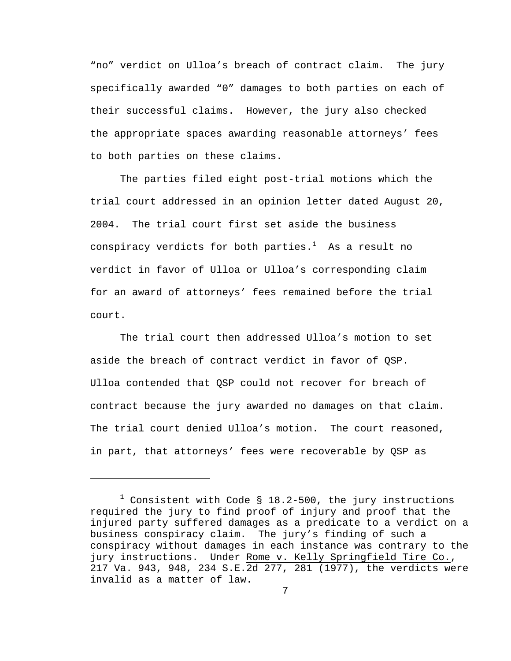"no" verdict on Ulloa's breach of contract claim. The jury specifically awarded "0" damages to both parties on each of their successful claims. However, the jury also checked the appropriate spaces awarding reasonable attorneys' fees to both parties on these claims.

The parties filed eight post-trial motions which the trial court addressed in an opinion letter dated August 20, 2004. The trial court first set aside the business conspiracy verdicts for both parties. $^1$  As a result no verdict in favor of Ulloa or Ulloa's corresponding claim for an award of attorneys' fees remained before the trial court.

The trial court then addressed Ulloa's motion to set aside the breach of contract verdict in favor of QSP. Ulloa contended that QSP could not recover for breach of contract because the jury awarded no damages on that claim. The trial court denied Ulloa's motion. The court reasoned, in part, that attorneys' fees were recoverable by QSP as

i<br>Li

 $^1$  Consistent with Code § 18.2-500, the jury instructions required the jury to find proof of injury and proof that the injured party suffered damages as a predicate to a verdict on a business conspiracy claim. The jury's finding of such a conspiracy without damages in each instance was contrary to the jury instructions. Under Rome v. Kelly Springfield Tire Co., 217 Va. 943, 948, 234 S.E.2d 277, 281 (1977), the verdicts were invalid as a matter of law.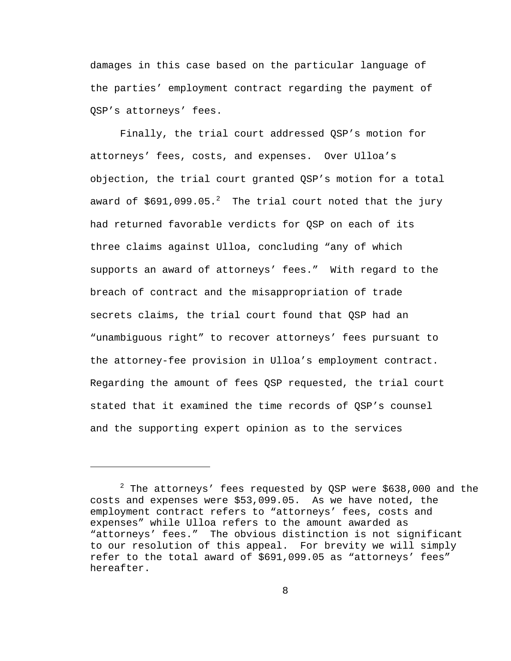damages in this case based on the particular language of the parties' employment contract regarding the payment of QSP's attorneys' fees.

Finally, the trial court addressed QSP's motion for attorneys' fees, costs, and expenses. Over Ulloa's objection, the trial court granted QSP's motion for a total award of \$691,099.05. $^2$  The trial court noted that the jury had returned favorable verdicts for QSP on each of its three claims against Ulloa, concluding "any of which supports an award of attorneys' fees." With regard to the breach of contract and the misappropriation of trade secrets claims, the trial court found that QSP had an "unambiguous right" to recover attorneys' fees pursuant to the attorney-fee provision in Ulloa's employment contract. Regarding the amount of fees QSP requested, the trial court stated that it examined the time records of QSP's counsel and the supporting expert opinion as to the services

i<br>Li

 $^2$  The attorneys' fees requested by QSP were \$638,000 and the costs and expenses were \$53,099.05. As we have noted, the employment contract refers to "attorneys' fees, costs and expenses" while Ulloa refers to the amount awarded as "attorneys' fees." The obvious distinction is not significant to our resolution of this appeal. For brevity we will simply refer to the total award of \$691,099.05 as "attorneys' fees" hereafter.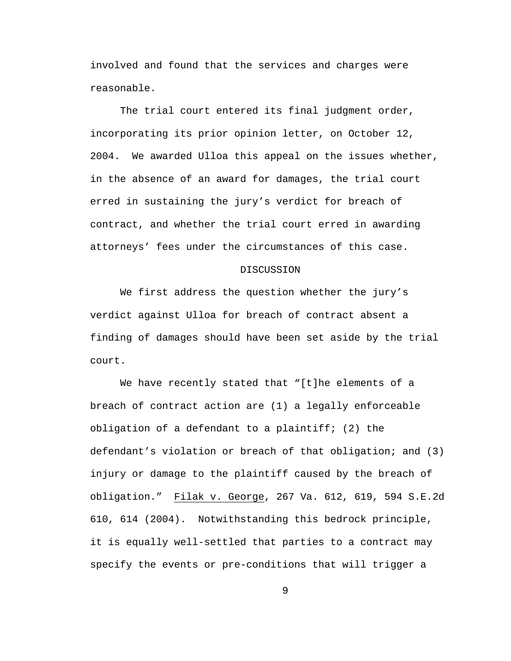involved and found that the services and charges were reasonable.

The trial court entered its final judgment order, incorporating its prior opinion letter, on October 12, 2004. We awarded Ulloa this appeal on the issues whether, in the absence of an award for damages, the trial court erred in sustaining the jury's verdict for breach of contract, and whether the trial court erred in awarding attorneys' fees under the circumstances of this case.

## DISCUSSION

We first address the question whether the jury's verdict against Ulloa for breach of contract absent a finding of damages should have been set aside by the trial court.

We have recently stated that "[t]he elements of a breach of contract action are (1) a legally enforceable obligation of a defendant to a plaintiff; (2) the defendant's violation or breach of that obligation; and (3) injury or damage to the plaintiff caused by the breach of obligation." Filak v. George, 267 Va. 612, 619, 594 S.E.2d 610, 614 (2004). Notwithstanding this bedrock principle, it is equally well-settled that parties to a contract may specify the events or pre-conditions that will trigger a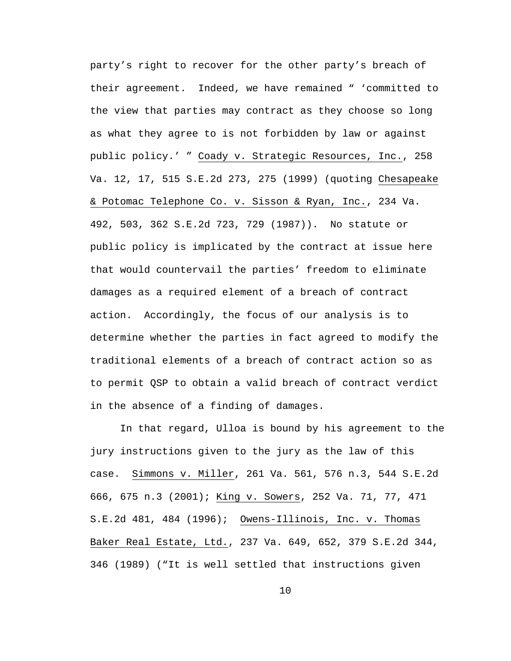party's right to recover for the other party's breach of their agreement. Indeed, we have remained " 'committed to the view that parties may contract as they choose so long as what they agree to is not forbidden by law or against public policy.' " Coady v. Strategic Resources, Inc., 258 Va. 12, 17, 515 S.E.2d 273, 275 (1999) (quoting Chesapeake & Potomac Telephone Co. v. Sisson & Ryan, Inc., 234 Va. 492, 503, 362 S.E.2d 723, 729 (1987)). No statute or public policy is implicated by the contract at issue here that would countervail the parties' freedom to eliminate damages as a required element of a breach of contract action. Accordingly, the focus of our analysis is to determine whether the parties in fact agreed to modify the traditional elements of a breach of contract action so as to permit QSP to obtain a valid breach of contract verdict in the absence of a finding of damages.

In that regard, Ulloa is bound by his agreement to the jury instructions given to the jury as the law of this case. Simmons v. Miller, 261 Va. 561, 576 n.3, 544 S.E.2d 666, 675 n.3 (2001); King v. Sowers, 252 Va. 71, 77, 471 S.E.2d 481, 484 (1996); Owens-Illinois, Inc. v. Thomas Baker Real Estate, Ltd., 237 Va. 649, 652, 379 S.E.2d 344, 346 (1989) ("It is well settled that instructions given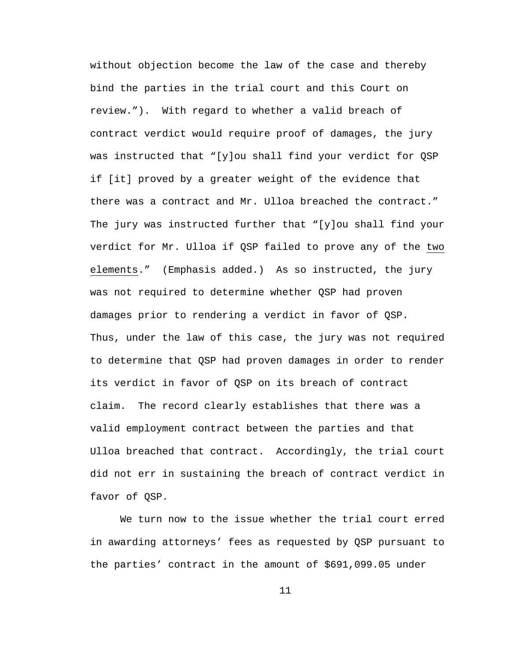without objection become the law of the case and thereby bind the parties in the trial court and this Court on review."). With regard to whether a valid breach of contract verdict would require proof of damages, the jury was instructed that "[y]ou shall find your verdict for QSP if [it] proved by a greater weight of the evidence that there was a contract and Mr. Ulloa breached the contract." The jury was instructed further that "[y]ou shall find your verdict for Mr. Ulloa if QSP failed to prove any of the two elements." (Emphasis added.) As so instructed, the jury was not required to determine whether QSP had proven damages prior to rendering a verdict in favor of QSP. Thus, under the law of this case, the jury was not required to determine that QSP had proven damages in order to render its verdict in favor of QSP on its breach of contract claim. The record clearly establishes that there was a valid employment contract between the parties and that Ulloa breached that contract. Accordingly, the trial court did not err in sustaining the breach of contract verdict in favor of QSP.

We turn now to the issue whether the trial court erred in awarding attorneys' fees as requested by QSP pursuant to the parties' contract in the amount of \$691,099.05 under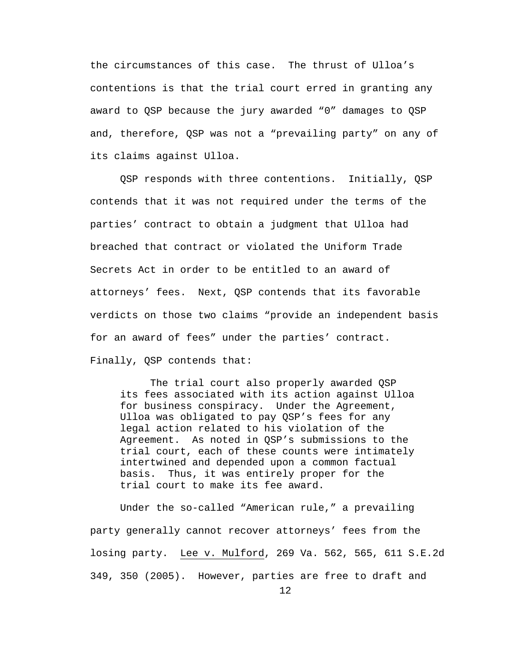the circumstances of this case. The thrust of Ulloa's contentions is that the trial court erred in granting any award to QSP because the jury awarded "0" damages to QSP and, therefore, QSP was not a "prevailing party" on any of its claims against Ulloa.

QSP responds with three contentions. Initially, QSP contends that it was not required under the terms of the parties' contract to obtain a judgment that Ulloa had breached that contract or violated the Uniform Trade Secrets Act in order to be entitled to an award of attorneys' fees. Next, QSP contends that its favorable verdicts on those two claims "provide an independent basis for an award of fees" under the parties' contract. Finally, QSP contends that:

The trial court also properly awarded QSP its fees associated with its action against Ulloa for business conspiracy. Under the Agreement, Ulloa was obligated to pay QSP's fees for any legal action related to his violation of the Agreement. As noted in QSP's submissions to the trial court, each of these counts were intimately intertwined and depended upon a common factual basis. Thus, it was entirely proper for the trial court to make its fee award.

Under the so-called "American rule," a prevailing party generally cannot recover attorneys' fees from the losing party. Lee v. Mulford, 269 Va. 562, 565, 611 S.E.2d 349, 350 (2005). However, parties are free to draft and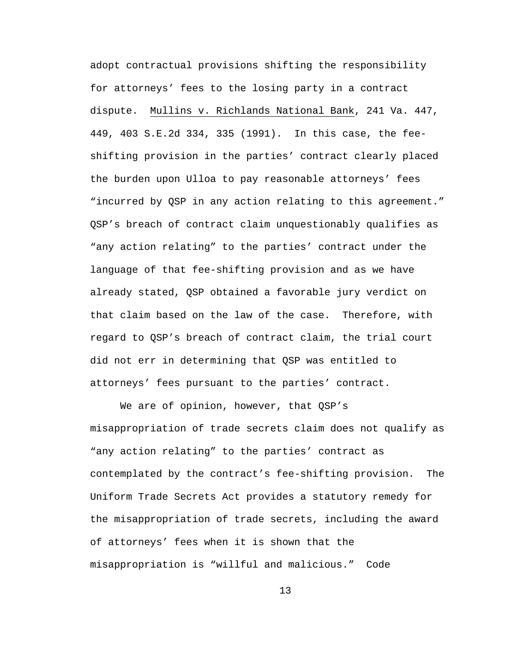adopt contractual provisions shifting the responsibility for attorneys' fees to the losing party in a contract dispute. Mullins v. Richlands National Bank, 241 Va. 447, 449, 403 S.E.2d 334, 335 (1991). In this case, the feeshifting provision in the parties' contract clearly placed the burden upon Ulloa to pay reasonable attorneys' fees "incurred by QSP in any action relating to this agreement." QSP's breach of contract claim unquestionably qualifies as "any action relating" to the parties' contract under the language of that fee-shifting provision and as we have already stated, QSP obtained a favorable jury verdict on that claim based on the law of the case. Therefore, with regard to QSP's breach of contract claim, the trial court did not err in determining that QSP was entitled to attorneys' fees pursuant to the parties' contract.

We are of opinion, however, that QSP's misappropriation of trade secrets claim does not qualify as "any action relating" to the parties' contract as contemplated by the contract's fee-shifting provision. The Uniform Trade Secrets Act provides a statutory remedy for the misappropriation of trade secrets, including the award of attorneys' fees when it is shown that the misappropriation is "willful and malicious." Code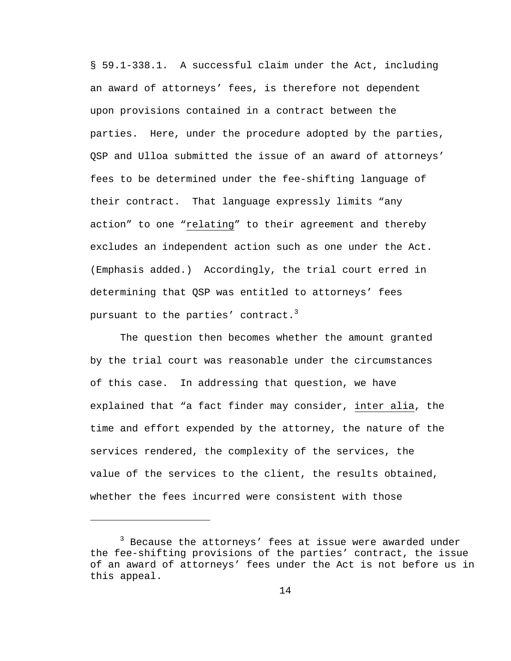§ 59.1-338.1. A successful claim under the Act, including an award of attorneys' fees, is therefore not dependent upon provisions contained in a contract between the parties. Here, under the procedure adopted by the parties, QSP and Ulloa submitted the issue of an award of attorneys' fees to be determined under the fee-shifting language of their contract. That language expressly limits "any action" to one "relating" to their agreement and thereby excludes an independent action such as one under the Act. (Emphasis added.) Accordingly, the trial court erred in determining that QSP was entitled to attorneys' fees pursuant to the parties' contract.<sup>3</sup>

The question then becomes whether the amount granted by the trial court was reasonable under the circumstances of this case. In addressing that question, we have explained that "a fact finder may consider, inter alia, the time and effort expended by the attorney, the nature of the services rendered, the complexity of the services, the value of the services to the client, the results obtained, whether the fees incurred were consistent with those

 $\overline{\phantom{0}}$ 

<sup>&</sup>lt;sup>3</sup> Because the attorneys' fees at issue were awarded under the fee-shifting provisions of the parties' contract, the issue of an award of attorneys' fees under the Act is not before us in this appeal.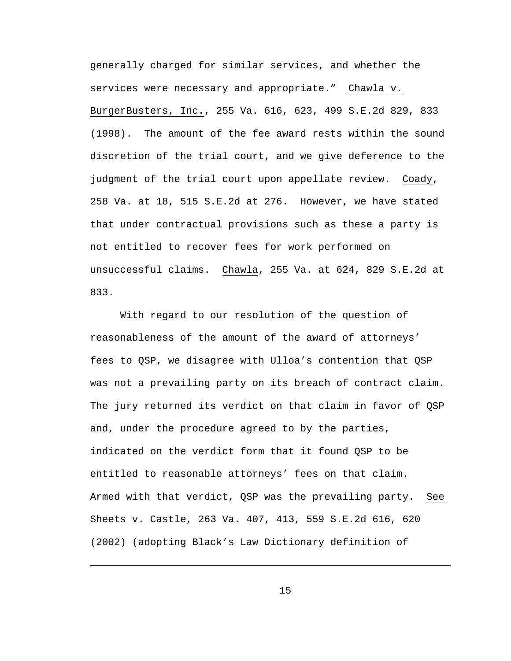generally charged for similar services, and whether the services were necessary and appropriate." Chawla v. BurgerBusters, Inc., 255 Va. 616, 623, 499 S.E.2d 829, 833 (1998). The amount of the fee award rests within the sound discretion of the trial court, and we give deference to the judgment of the trial court upon appellate review. Coady, 258 Va. at 18, 515 S.E.2d at 276. However, we have stated that under contractual provisions such as these a party is not entitled to recover fees for work performed on unsuccessful claims. Chawla, 255 Va. at 624, 829 S.E.2d at 833.

With regard to our resolution of the question of reasonableness of the amount of the award of attorneys' fees to QSP, we disagree with Ulloa's contention that QSP was not a prevailing party on its breach of contract claim. The jury returned its verdict on that claim in favor of QSP and, under the procedure agreed to by the parties, indicated on the verdict form that it found QSP to be entitled to reasonable attorneys' fees on that claim. Armed with that verdict, QSP was the prevailing party. See Sheets v. Castle, 263 Va. 407, 413, 559 S.E.2d 616, 620 (2002) (adopting Black's Law Dictionary definition of

15

 $\overline{\phantom{0}}$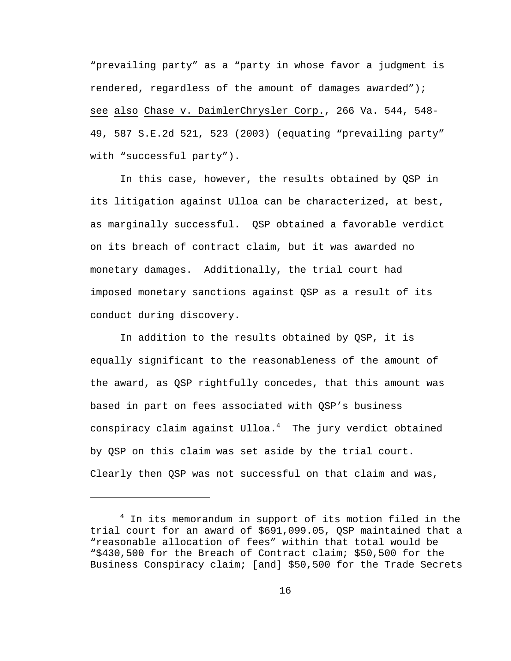"prevailing party" as a "party in whose favor a judgment is rendered, regardless of the amount of damages awarded"); see also Chase v. DaimlerChrysler Corp., 266 Va. 544, 548- 49, 587 S.E.2d 521, 523 (2003) (equating "prevailing party" with "successful party").

In this case, however, the results obtained by QSP in its litigation against Ulloa can be characterized, at best, as marginally successful. QSP obtained a favorable verdict on its breach of contract claim, but it was awarded no monetary damages. Additionally, the trial court had imposed monetary sanctions against QSP as a result of its conduct during discovery.

In addition to the results obtained by QSP, it is equally significant to the reasonableness of the amount of the award, as QSP rightfully concedes, that this amount was based in part on fees associated with QSP's business conspiracy claim against Ulloa.<sup>4</sup> The jury verdict obtained by QSP on this claim was set aside by the trial court. Clearly then QSP was not successful on that claim and was,

i<br>Li

 $4$  In its memorandum in support of its motion filed in the trial court for an award of \$691,099.05, QSP maintained that a "reasonable allocation of fees" within that total would be "\$430,500 for the Breach of Contract claim; \$50,500 for the Business Conspiracy claim; [and] \$50,500 for the Trade Secrets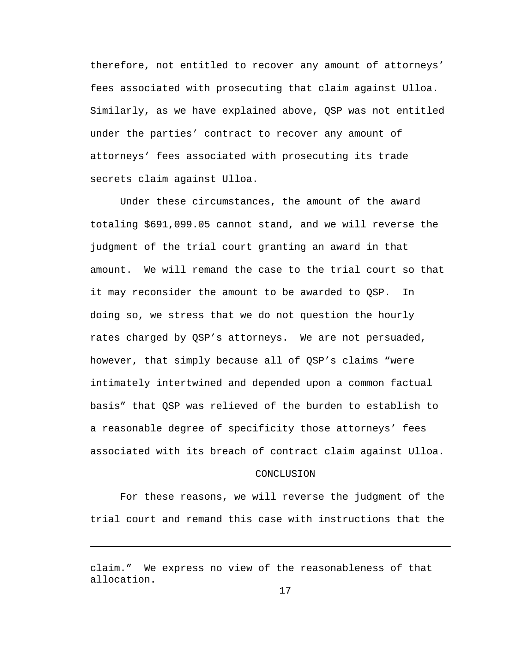therefore, not entitled to recover any amount of attorneys' fees associated with prosecuting that claim against Ulloa. Similarly, as we have explained above, QSP was not entitled under the parties' contract to recover any amount of attorneys' fees associated with prosecuting its trade secrets claim against Ulloa.

Under these circumstances, the amount of the award totaling \$691,099.05 cannot stand, and we will reverse the judgment of the trial court granting an award in that amount. We will remand the case to the trial court so that it may reconsider the amount to be awarded to QSP. In doing so, we stress that we do not question the hourly rates charged by QSP's attorneys. We are not persuaded, however, that simply because all of QSP's claims "were intimately intertwined and depended upon a common factual basis" that QSP was relieved of the burden to establish to a reasonable degree of specificity those attorneys' fees associated with its breach of contract claim against Ulloa.

## CONCLUSION

For these reasons, we will reverse the judgment of the trial court and remand this case with instructions that the

i

claim." We express no view of the reasonableness of that allocation.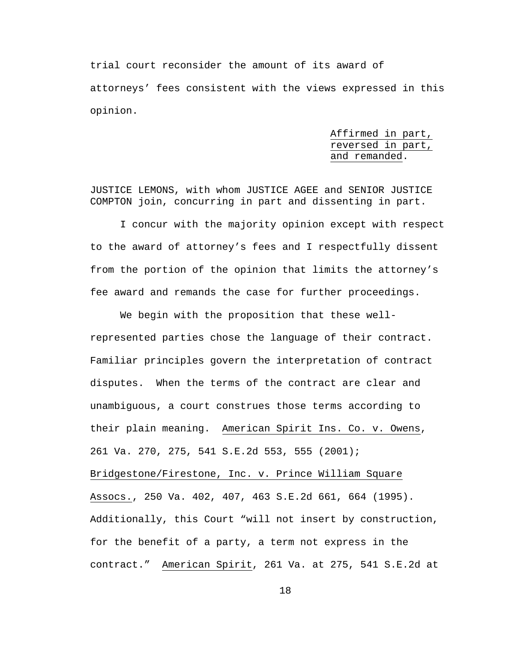trial court reconsider the amount of its award of attorneys' fees consistent with the views expressed in this opinion.

> Affirmed in part, reversed in part, and remanded.

JUSTICE LEMONS, with whom JUSTICE AGEE and SENIOR JUSTICE COMPTON join, concurring in part and dissenting in part.

I concur with the majority opinion except with respect to the award of attorney's fees and I respectfully dissent from the portion of the opinion that limits the attorney's fee award and remands the case for further proceedings.

We begin with the proposition that these wellrepresented parties chose the language of their contract. Familiar principles govern the interpretation of contract disputes. When the terms of the contract are clear and unambiguous, a court construes those terms according to their plain meaning. American Spirit Ins. Co. v. Owens, 261 Va. 270, 275, 541 S.E.2d 553, 555 (2001); Bridgestone/Firestone, Inc. v. Prince William Square Assocs., 250 Va. 402, 407, 463 S.E.2d 661, 664 (1995). Additionally, this Court "will not insert by construction, for the benefit of a party, a term not express in the contract." American Spirit, 261 Va. at 275, 541 S.E.2d at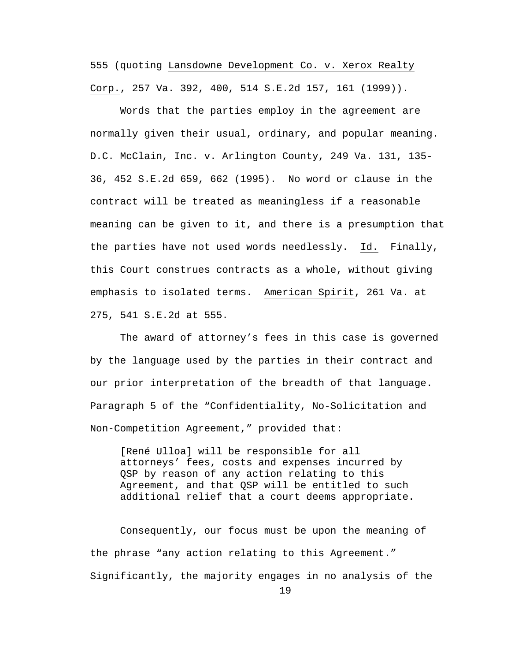555 (quoting Lansdowne Development Co. v. Xerox Realty Corp., 257 Va. 392, 400, 514 S.E.2d 157, 161 (1999)).

Words that the parties employ in the agreement are normally given their usual, ordinary, and popular meaning. D.C. McClain, Inc. v. Arlington County, 249 Va. 131, 135- 36, 452 S.E.2d 659, 662 (1995). No word or clause in the contract will be treated as meaningless if a reasonable meaning can be given to it, and there is a presumption that the parties have not used words needlessly. Id. Finally, this Court construes contracts as a whole, without giving emphasis to isolated terms. American Spirit, 261 Va. at 275, 541 S.E.2d at 555.

The award of attorney's fees in this case is governed by the language used by the parties in their contract and our prior interpretation of the breadth of that language. Paragraph 5 of the "Confidentiality, No-Solicitation and Non-Competition Agreement," provided that:

 [René Ulloa] will be responsible for all attorneys' fees, costs and expenses incurred by QSP by reason of any action relating to this Agreement, and that QSP will be entitled to such additional relief that a court deems appropriate.

19 Consequently, our focus must be upon the meaning of the phrase "any action relating to this Agreement." Significantly, the majority engages in no analysis of the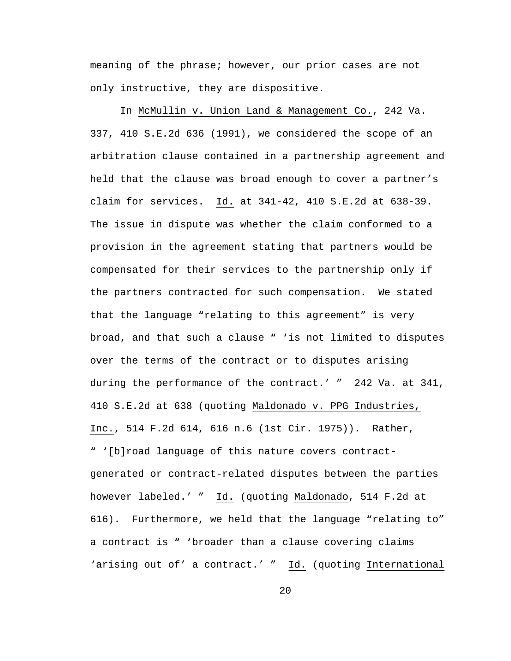meaning of the phrase; however, our prior cases are not only instructive, they are dispositive.

In McMullin v. Union Land & Management Co., 242 Va. 337, 410 S.E.2d 636 (1991), we considered the scope of an arbitration clause contained in a partnership agreement and held that the clause was broad enough to cover a partner's claim for services. Id. at 341-42, 410 S.E.2d at 638-39. The issue in dispute was whether the claim conformed to a provision in the agreement stating that partners would be compensated for their services to the partnership only if the partners contracted for such compensation. We stated that the language "relating to this agreement" is very broad, and that such a clause " 'is not limited to disputes over the terms of the contract or to disputes arising during the performance of the contract.' " 242 Va. at 341, 410 S.E.2d at 638 (quoting Maldonado v. PPG Industries, Inc., 514 F.2d 614, 616 n.6 (1st Cir. 1975)). Rather, " '[b]road language of this nature covers contractgenerated or contract-related disputes between the parties however labeled.' " Id. (quoting Maldonado, 514 F.2d at 616). Furthermore, we held that the language "relating to" a contract is " 'broader than a clause covering claims 'arising out of' a contract.' " Id. (quoting International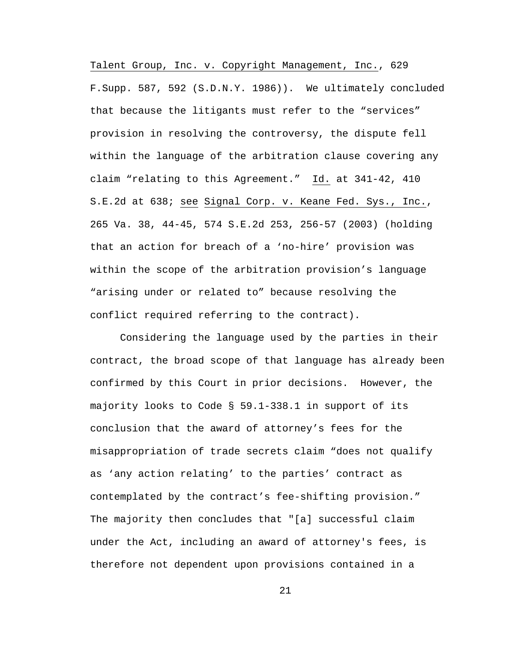Talent Group, Inc. v. Copyright Management, Inc., 629 F.Supp. 587, 592 (S.D.N.Y. 1986)). We ultimately concluded that because the litigants must refer to the "services" provision in resolving the controversy, the dispute fell within the language of the arbitration clause covering any claim "relating to this Agreement." Id. at 341-42, 410 S.E.2d at 638; see Signal Corp. v. Keane Fed. Sys., Inc., 265 Va. 38, 44-45, 574 S.E.2d 253, 256-57 (2003) (holding that an action for breach of a 'no-hire' provision was within the scope of the arbitration provision's language "arising under or related to" because resolving the conflict required referring to the contract).

Considering the language used by the parties in their contract, the broad scope of that language has already been confirmed by this Court in prior decisions. However, the majority looks to Code § 59.1-338.1 in support of its conclusion that the award of attorney's fees for the misappropriation of trade secrets claim "does not qualify as 'any action relating' to the parties' contract as contemplated by the contract's fee-shifting provision." The majority then concludes that "[a] successful claim under the Act, including an award of attorney's fees, is therefore not dependent upon provisions contained in a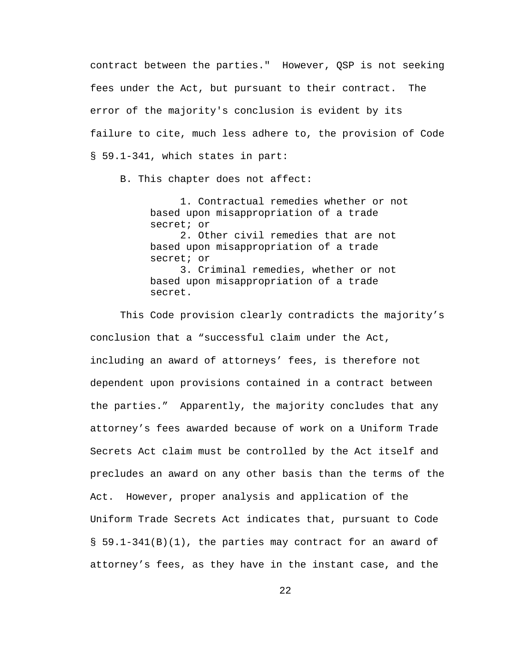contract between the parties." However, QSP is not seeking fees under the Act, but pursuant to their contract. The error of the majority's conclusion is evident by its failure to cite, much less adhere to, the provision of Code § 59.1-341, which states in part:

B. This chapter does not affect:

 1. Contractual remedies whether or not based upon misappropriation of a trade secret; or 2. Other civil remedies that are not based upon misappropriation of a trade secret; or 3. Criminal remedies, whether or not based upon misappropriation of a trade secret.

This Code provision clearly contradicts the majority's conclusion that a "successful claim under the Act, including an award of attorneys' fees, is therefore not dependent upon provisions contained in a contract between the parties." Apparently, the majority concludes that any attorney's fees awarded because of work on a Uniform Trade Secrets Act claim must be controlled by the Act itself and precludes an award on any other basis than the terms of the Act. However, proper analysis and application of the Uniform Trade Secrets Act indicates that, pursuant to Code § 59.1-341(B)(1), the parties may contract for an award of attorney's fees, as they have in the instant case, and the